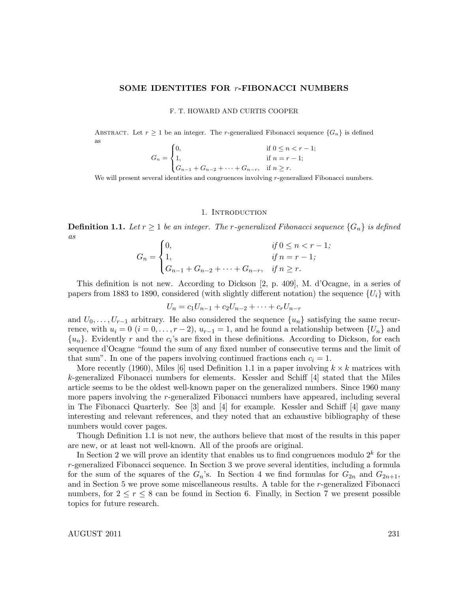### SOME IDENTITIES FOR r-FIBONACCI NUMBERS

F. T. HOWARD AND CURTIS COOPER

ABSTRACT. Let  $r \geq 1$  be an integer. The r-generalized Fibonacci sequence  $\{G_n\}$  is defined as

$$
G_n = \begin{cases} 0, & \text{if } 0 \le n < r - 1; \\ 1, & \text{if } n = r - 1; \\ G_{n-1} + G_{n-2} + \dots + G_{n-r}, & \text{if } n \ge r. \end{cases}
$$

We will present several identities and congruences involving r-generalized Fibonacci numbers.

#### 1. INTRODUCTION

**Definition 1.1.** Let  $r \geq 1$  be an integer. The r-generalized Fibonacci sequence  $\{G_n\}$  is defined  $\mathfrak{a}s$ 

$$
G_n = \begin{cases} 0, & \text{if } 0 \le n < r - 1; \\ 1, & \text{if } n = r - 1; \\ G_{n-1} + G_{n-2} + \dots + G_{n-r}, & \text{if } n \ge r. \end{cases}
$$

This definition is not new. According to Dickson [2, p. 409], M. d'Ocagne, in a series of papers from 1883 to 1890, considered (with slightly different notation) the sequence  $\{U_i\}$  with

$$
U_n = c_1 U_{n-1} + c_2 U_{n-2} + \dots + c_r U_{n-r}
$$

and  $U_0, \ldots, U_{r-1}$  arbitrary. He also considered the sequence  $\{u_n\}$  satisfying the same recurrence, with  $u_i = 0$   $(i = 0, \ldots, r-2)$ ,  $u_{r-1} = 1$ , and he found a relationship between  $\{U_n\}$  and  ${u_n}$ . Evidently r and the  $c_i$ 's are fixed in these definitions. According to Dickson, for each sequence d'Ocagne "found the sum of any fixed number of consecutive terms and the limit of that sum". In one of the papers involving continued fractions each  $c_i = 1$ .

More recently (1960), Miles [6] used Definition 1.1 in a paper involving  $k \times k$  matrices with k-generalized Fibonacci numbers for elements. Kessler and Schiff [4] stated that the Miles article seems to be the oldest well-known paper on the generalized numbers. Since 1960 many more papers involving the r-generalized Fibonacci numbers have appeared, including several in The Fibonacci Quarterly. See [3] and [4] for example. Kessler and Schiff [4] gave many interesting and relevant references, and they noted that an exhaustive bibliography of these numbers would cover pages.

Though Definition 1.1 is not new, the authors believe that most of the results in this paper are new, or at least not well-known. All of the proofs are original.

In Section 2 we will prove an identity that enables us to find congruences modulo  $2^k$  for the r-generalized Fibonacci sequence. In Section 3 we prove several identities, including a formula for the sum of the squares of the  $G_n$ 's. In Section 4 we find formulas for  $G_{2n}$  and  $G_{2n+1}$ , and in Section 5 we prove some miscellaneous results. A table for the r-generalized Fibonacci numbers, for  $2 \le r \le 8$  can be found in Section 6. Finally, in Section 7 we present possible topics for future research.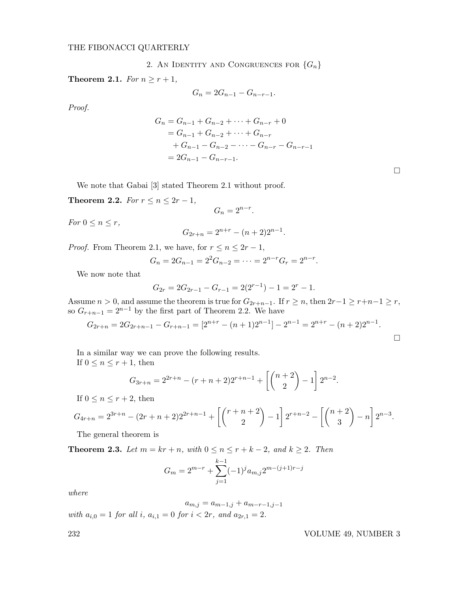2. AN IDENTITY AND CONGRUENCES FOR  ${G_n}$ 

Theorem 2.1. For  $n \geq r+1$ ,

$$
G_n = 2G_{n-1} - G_{n-r-1}.
$$

Proof.

$$
G_n = G_{n-1} + G_{n-2} + \dots + G_{n-r} + 0
$$
  
=  $G_{n-1} + G_{n-2} + \dots + G_{n-r}$   
+  $G_{n-1} - G_{n-2} - \dots - G_{n-r} - G_{n-r-1}$   
=  $2G_{n-1} - G_{n-r-1}$ .

We note that Gabai [3] stated Theorem 2.1 without proof.

Theorem 2.2. For  $r \leq n \leq 2r - 1$ ,

$$
G_n = 2^{n-r}.
$$

For  $0 \leq n \leq r$ ,

$$
G_{2r+n} = 2^{n+r} - (n+2)2^{n-1}.
$$

*Proof.* From Theorem 2.1, we have, for  $r \le n \le 2r - 1$ ,

$$
G_n = 2G_{n-1} = 2^2 G_{n-2} = \dots = 2^{n-r} G_r = 2^{n-r}.
$$

We now note that

$$
G_{2r} = 2G_{2r-1} - G_{r-1} = 2(2^{r-1}) - 1 = 2^r - 1.
$$

Assume  $n > 0$ , and assume the theorem is true for  $G_{2r+n-1}$ . If  $r \ge n$ , then  $2r-1 \ge r+n-1 \ge r$ , so  $G_{r+n-1} = 2^{n-1}$  by the first part of Theorem 2.2. We have

$$
G_{2r+n} = 2G_{2r+n-1} - G_{r+n-1} = [2^{n+r} - (n+1)2^{n-1}] - 2^{n-1} = 2^{n+r} - (n+2)2^{n-1}.
$$

In a similar way we can prove the following results. If  $0 \leq n \leq r+1$ , then

$$
G_{3r+n} = 2^{2r+n} - (r+n+2)2^{r+n-1} + \left[ \binom{n+2}{2} - 1 \right] 2^{n-2}.
$$

If  $0 \leq n \leq r+2$ , then

$$
G_{4r+n} = 2^{3r+n} - (2r+n+2)2^{2r+n-1} + \left[ \binom{r+n+2}{2} - 1 \right] 2^{r+n-2} - \left[ \binom{n+2}{3} - n \right] 2^{n-3}.
$$

The general theorem is

**Theorem 2.3.** Let  $m = kr + n$ , with  $0 \le n \le r + k - 2$ , and  $k \ge 2$ . Then

$$
G_m = 2^{m-r} + \sum_{j=1}^{k-1} (-1)^j a_{m,j} 2^{m-(j+1)r-j}
$$

where

$$
a_{m,j} = a_{m-1,j} + a_{m-r-1,j-1}
$$
  
with  $a_{i,0} = 1$  for all  $i$ ,  $a_{i,1} = 0$  for  $i < 2r$ , and  $a_{2r,1} = 2$ .

 $\Box$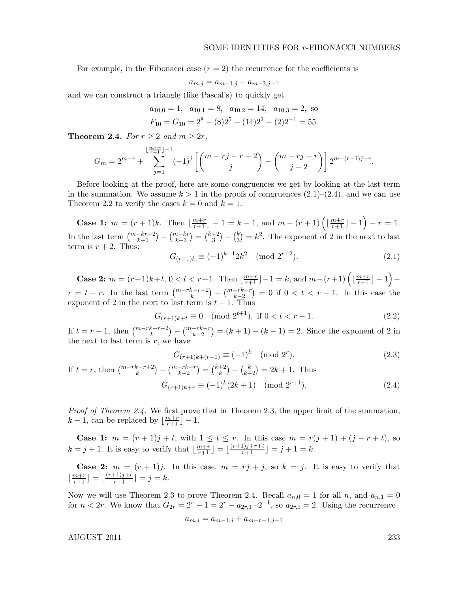For example, in the Fibonacci case  $(r = 2)$  the recurrence for the coefficients is

$$
a_{m,j} = a_{m-1,j} + a_{m-3,j-1}
$$

and we can construct a triangle (like Pascal's) to quickly get

$$
a_{10,0} = 1
$$
,  $a_{10,1} = 8$ ,  $a_{10,2} = 14$ ,  $a_{10,3} = 2$ , so  
 $F_{10} = G_{10} = 2^8 - (8)2^5 + (14)2^2 - (2)2^{-1} = 55$ .

Theorem 2.4. For  $r \geq 2$  and  $m \geq 2r$ ,

$$
G_m=2^{m-r}+\sum_{j=1}^{\lfloor\frac{m+r}{r+1}\rfloor-1}(-1)^j\left[\binom{m-rj-r+2}{j}-\binom{m-rj-r}{j-2}\right]2^{m-(r+1)j-r}.
$$

Before looking at the proof, here are some congruences we get by looking at the last term in the summation. We assume  $k > 1$  in the proofs of congruences  $(2.1)$ – $(2.4)$ , and we can use Theorem 2.2 to verify the cases  $k = 0$  and  $k = 1$ .

**Case 1:**  $m = (r+1)k$ . Then  $\lfloor \frac{m+r}{r+1} \rfloor - 1 = k - 1$ , and  $m - (r+1) \left( \lfloor \frac{m+r}{r+1} \rfloor - 1 \right) - r = 1$ . In the last term  $\binom{m-kr+2}{k-1} - \binom{m-kr}{k-3} = \binom{k+2}{3}$  $\binom{+2}{3} - \binom{k}{3}$  $\binom{k}{3} = k^2$ . The exponent of 2 in the next to last term is  $r + 2$ . Thus

$$
G_{(r+1)k} \equiv (-1)^{k-1} 2k^2 \pmod{2^{r+2}}.
$$
\n(2.1)

**Case 2:**  $m = (r+1)k+t, 0 < t < r+1$ . Then  $\lfloor \frac{m+r}{r+1} \rfloor - 1 = k$ , and  $m - (r+1) \left( \lfloor \frac{m+r}{r+1} \rfloor - 1 \right) - 1$  $r = t - r$ . In the last term  $\binom{m-rk-r+2}{k} - \binom{m-rk-r}{k-2} = 0$  if  $0 < t < r - 1$ . In this case the exponent of 2 in the next to last term is  $t + 1$ . Thus

$$
G_{(r+1)k+t} \equiv 0 \pmod{2^{t+1}}, \text{ if } 0 < t < r-1.
$$
 (2.2)

If  $t = r - 1$ , then  $\binom{m-rk-r+2}{k} - \binom{m-rk-r}{k-2} = (k+1) - (k-1) = 2$ . Since the exponent of 2 in the next to last term is  $r$ , we have

$$
G_{(r+1)k + (r-1)} \equiv (-1)^k \pmod{2^r}.
$$
 (2.3)

If 
$$
t = r
$$
, then  $\binom{m - rk - r + 2}{k} - \binom{m - rk - r}{k - 2} = \binom{k + 2}{k} - \binom{k}{k - 2} = 2k + 1$ . Thus  

$$
G_{(r+1)k + r} \equiv (-1)^k (2k + 1) \pmod{2^{r+1}}.
$$
 (2.4)

Proof of Theorem 2.4. We first prove that in Theorem 2.3, the upper limit of the summation,  $k-1$ , can be replaced by  $\lfloor \frac{m+r}{r+1} \rfloor - 1$ .

**Case 1:**  $m = (r + 1)j + t$ , with  $1 \le t \le r$ . In this case  $m = r(j + 1) + (j - r + t)$ , so  $k = j + 1$ . It is easy to verify that  $\lfloor \frac{m+r}{r+1} \rfloor = \lfloor \frac{(r+1)j+r+t}{r+1} \rfloor = j + 1 = k$ .

**Case 2:**  $m = (r + 1)j$ . In this case,  $m = rj + j$ , so  $k = j$ . It is easy to verify that  $\lfloor \frac{m+r}{r+1} \rfloor = \lfloor \frac{(r+1)j+r}{r+1} \rfloor = j = k.$ 

Now we will use Theorem 2.3 to prove Theorem 2.4. Recall  $a_{n,0} = 1$  for all n, and  $a_{n,1} = 0$ for  $n < 2r$ . We know that  $G_{2r} = 2^r - 1 = 2^r - a_{2r,1} \cdot 2^{-1}$ , so  $a_{2r,1} = 2$ . Using the recurrence

$$
a_{m,j} = a_{m-1,j} + a_{m-r-1,j-1}
$$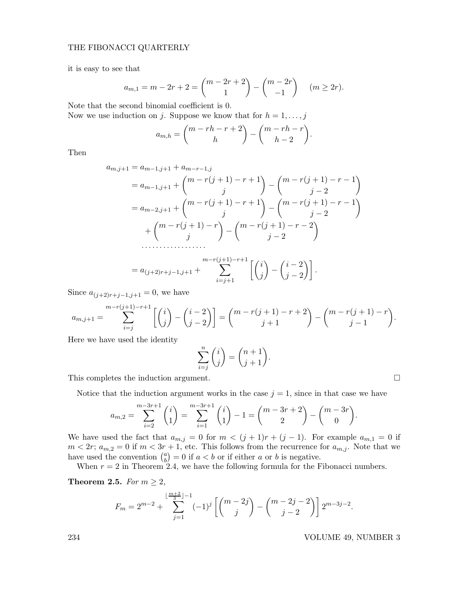it is easy to see that

$$
a_{m,1} = m - 2r + 2 = \binom{m - 2r + 2}{1} - \binom{m - 2r}{-1} \quad (m \ge 2r).
$$

Note that the second binomial coefficient is 0. Now we use induction on j. Suppose we know that for  $h = 1, \ldots, j$ 

$$
a_{m,h} = \binom{m-rh-r+2}{h} - \binom{m-rh-r}{h-2}.
$$

Then

$$
a_{m,j+1} = a_{m-1,j+1} + a_{m-r-1,j}
$$
  
=  $a_{m-1,j+1} + {m-r(j+1) - r + 1 \choose j} - {m-r(j+1) - r - 1 \choose j-2}$   
=  $a_{m-2,j+1} + {m-r(j+1) - r + 1 \choose j} - {m-r(j+1) - r - 1 \choose j-2}$   
+  ${m-r(j+1) - r \choose j} - {m-r(j+1) - r - 2 \choose j-2}$   
........  
=  $a_{(j+2)r+j-1,j+1} + \sum_{i=j+1}^{m-r(j+1)-r+1} \left[ {i \choose j} - {i-2 \choose j-2} \right].$ 

Since  $a_{(j+2)r+j-1,j+1} = 0$ , we have

$$
a_{m,j+1} = \sum_{i=j}^{m-r(j+1)-r+1} \left[ \binom{i}{j} - \binom{i-2}{j-2} \right] = \binom{m-r(j+1)-r+2}{j+1} - \binom{m-r(j+1)-r}{j-1}.
$$

Here we have used the identity

$$
\sum_{i=j}^{n} \binom{i}{j} = \binom{n+1}{j+1}.
$$

This completes the induction argument.  $\Box$ 

Notice that the induction argument works in the case  $j = 1$ , since in that case we have

$$
a_{m,2} = \sum_{i=2}^{m-3r+1} {i \choose 1} = \sum_{i=1}^{m-3r+1} {i \choose 1} - 1 = {m-3r+2 \choose 2} - {m-3r \choose 0}.
$$

We have used the fact that  $a_{m,j} = 0$  for  $m < (j + 1)r + (j - 1)$ . For example  $a_{m,1} = 0$  if  $m < 2r$ ;  $a_{m,2} = 0$  if  $m < 3r + 1$ , etc. This follows from the recurrence for  $a_{m,j}$ . Note that we have used the convention  $\binom{a}{b}$  $\binom{a}{b} = 0$  if  $a < b$  or if either a or b is negative.

When  $r = 2$  in Theorem 2.4, we have the following formula for the Fibonacci numbers.

Theorem 2.5. For  $m \geq 2$ ,

$$
F_m = 2^{m-2} + \sum_{j=1}^{\lfloor \frac{m+2}{3} \rfloor - 1} (-1)^j \left[ \binom{m-2j}{j} - \binom{m-2j-2}{j-2} \right] 2^{m-3j-2}.
$$

234 VOLUME 49, NUMBER 3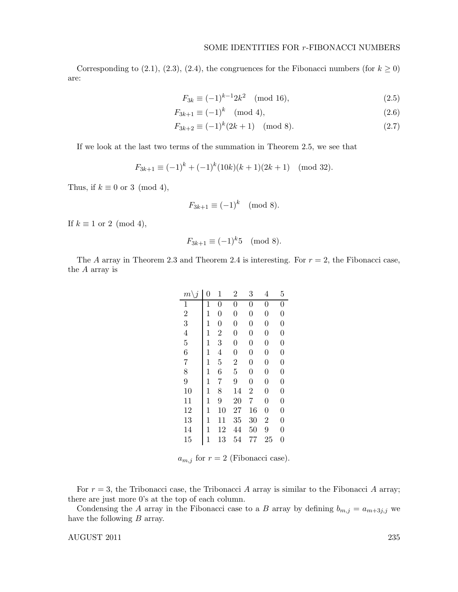Corresponding to (2.1), (2.3), (2.4), the congruences for the Fibonacci numbers (for  $k \ge 0$ ) are:

$$
F_{3k} \equiv (-1)^{k-1} 2k^2 \pmod{16},\tag{2.5}
$$

$$
F_{3k+1} \equiv (-1)^k \pmod{4},\tag{2.6}
$$

$$
F_{3k+2} \equiv (-1)^k (2k+1) \pmod{8}.
$$
 (2.7)

If we look at the last two terms of the summation in Theorem 2.5, we see that

$$
F_{3k+1} \equiv (-1)^k + (-1)^k (10k)(k+1)(2k+1) \pmod{32}.
$$

Thus, if  $k \equiv 0$  or 3 (mod 4),

$$
F_{3k+1} \equiv (-1)^k \pmod{8}.
$$

If  $k \equiv 1$  or 2 (mod 4),

$$
F_{3k+1} \equiv (-1)^k 5 \pmod{8}.
$$

The A array in Theorem 2.3 and Theorem 2.4 is interesting. For  $r = 2$ , the Fibonacci case, the A array is

| $m^{\setminus}$ | $\overline{0}$ | 1                | $\overline{2}$   | 3                | $\overline{4}$   | 5                |
|-----------------|----------------|------------------|------------------|------------------|------------------|------------------|
| $\mathbf{1}$    | $\mathbf{1}$   | $\boldsymbol{0}$ | $\boldsymbol{0}$ | $\boldsymbol{0}$ | $\boldsymbol{0}$ | $\boldsymbol{0}$ |
| $\overline{c}$  | 1              | $\overline{0}$   | $\overline{0}$   | $\overline{0}$   | $\overline{0}$   | $\overline{0}$   |
| 3               | $\mathbf{1}$   | $\overline{0}$   | $\overline{0}$   | $\overline{0}$   | $\overline{0}$   | $\overline{0}$   |
| $\overline{4}$  | $\mathbf{1}$   | $\overline{2}$   | $\overline{0}$   | $\overline{0}$   | $\overline{0}$   | $\overline{0}$   |
| $\overline{5}$  | $\mathbf{1}$   | 3                | $\boldsymbol{0}$ | $\overline{0}$   | $\overline{0}$   | $\overline{0}$   |
| 6               | $\mathbf{1}$   | $\overline{4}$   | $\overline{0}$   | $\overline{0}$   | $\overline{0}$   | $\overline{0}$   |
| $\overline{7}$  | $\mathbf{1}$   | 5                | $\overline{2}$   | $\overline{0}$   | $\overline{0}$   | $\overline{0}$   |
| 8               | $\mathbf{1}$   | 6                | $\overline{5}$   | $\overline{0}$   | $\overline{0}$   | $\overline{0}$   |
| 9               | $\mathbf{1}$   | 7                | 9                | $\overline{0}$   | $\overline{0}$   | $\overline{0}$   |
| 10              | $\mathbf{1}$   | 8                | 14               | $\overline{2}$   | $\overline{0}$   | $\overline{0}$   |
| 11              | $\mathbf{1}$   | 9                | 20               | 7                | $\overline{0}$   | $\overline{0}$   |
| 12              | $\mathbf{1}$   | 10               | 27               | 16               | $\overline{0}$   | $\overline{0}$   |
| 13              | $\mathbf{1}$   | 11               | 35               | 30               | $\overline{2}$   | $\overline{0}$   |
| 14              | $\mathbf{1}$   | 12               | 44               | 50               | 9                | $\overline{0}$   |
| 15              | $\mathbf{1}$   | 13               | 54               | 77               | 25               | $\overline{0}$   |

 $a_{m,j}$  for  $r = 2$  (Fibonacci case).

For  $r = 3$ , the Tribonacci case, the Tribonacci A array is similar to the Fibonacci A array; there are just more 0's at the top of each column.

Condensing the A array in the Fibonacci case to a B array by defining  $b_{m,j} = a_{m+3j,j}$  we have the following  $B$  array.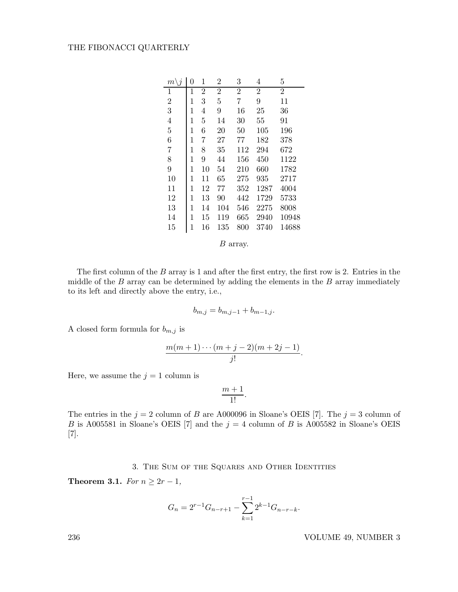| $m\backslash j$ | 0 | 1  | 2              | 3              | 4              | 5              |
|-----------------|---|----|----------------|----------------|----------------|----------------|
| $\mathbf 1$     | 1 | 2  | $\overline{2}$ | $\overline{2}$ | $\overline{2}$ | $\overline{2}$ |
| $\overline{2}$  | 1 | 3  | 5              | 7              | 9              | 11             |
| 3               | 1 | 4  | 9              | 16             | 25             | 36             |
| 4               | 1 | 5  | 14             | 30             | 55             | 91             |
| $\overline{5}$  | 1 | 6  | 20             | 50             | 105            | 196            |
| 6               | 1 | 7  | 27             | 77             | 182            | 378            |
| $\overline{7}$  | 1 | 8  | 35             | 112            | 294            | 672            |
| 8               | 1 | 9  | 44             | 156            | 450            | 1122           |
| 9               | 1 | 10 | 54             | 210            | 660            | 1782           |
| 10              | 1 | 11 | 65             | 275            | 935            | 2717           |
| 11              | 1 | 12 | 77             | 352            | 1287           | 4004           |
| 12              | 1 | 13 | 90             | 442            | 1729           | $5733\,$       |
| 13              | 1 | 14 | 104            | 546            | 2275           | 8008           |
| 14              | 1 | 15 | 119            | 665            | 2940           | 10948          |
| 15              | 1 | 16 | 135            | 800            | 3740           | 14688          |
|                 |   |    |                |                |                |                |

B array.

The first column of the B array is 1 and after the first entry, the first row is 2. Entries in the middle of the  $B$  array can be determined by adding the elements in the  $B$  array immediately to its left and directly above the entry, i.e.,

$$
b_{m,j} = b_{m,j-1} + b_{m-1,j}.
$$

A closed form formula for  $b_{m,j}$  is

$$
\frac{m(m+1)\cdots(m+j-2)(m+2j-1)}{j!}.
$$

Here, we assume the  $j = 1$  column is

$$
\frac{m+1}{1!}.
$$

The entries in the  $j = 2$  column of B are A000096 in Sloane's OEIS [7]. The  $j = 3$  column of B is A005581 in Sloane's OEIS [7] and the  $j = 4$  column of B is A005582 in Sloane's OEIS [7].

# 3. The Sum of the Squares and Other Identities

Theorem 3.1. For  $n \geq 2r - 1$ ,

$$
G_n = 2^{r-1}G_{n-r+1} - \sum_{k=1}^{r-1} 2^{k-1}G_{n-r-k}.
$$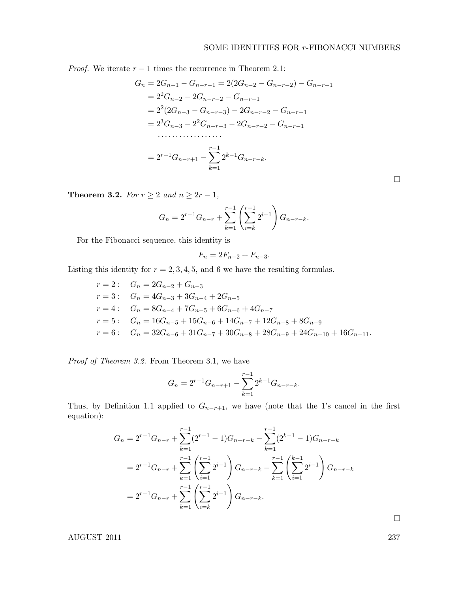*Proof.* We iterate  $r - 1$  times the recurrence in Theorem 2.1:

$$
G_n = 2G_{n-1} - G_{n-r-1} = 2(2G_{n-2} - G_{n-r-2}) - G_{n-r-1}
$$
  
=  $2^2 G_{n-2} - 2G_{n-r-2} - G_{n-r-1}$   
=  $2^2 (2G_{n-3} - G_{n-r-3}) - 2G_{n-r-2} - G_{n-r-1}$   
=  $2^3 G_{n-3} - 2^2 G_{n-r-3} - 2G_{n-r-2} - G_{n-r-1}$   
.................  
=  $2^{r-1} G_{n-r+1} - \sum_{k=1}^{r-1} 2^{k-1} G_{n-r-k}.$ 

Theorem 3.2. For  $r \geq 2$  and  $n \geq 2r - 1$ ,

$$
G_n = 2^{r-1}G_{n-r} + \sum_{k=1}^{r-1} \left(\sum_{i=k}^{r-1} 2^{i-1}\right)G_{n-r-k}.
$$

For the Fibonacci sequence, this identity is

$$
F_n = 2F_{n-2} + F_{n-3}.
$$

Listing this identity for  $r = 2, 3, 4, 5$ , and 6 we have the resulting formulas.

$$
r = 2: \quad G_n = 2G_{n-2} + G_{n-3}
$$
  
\n
$$
r = 3: \quad G_n = 4G_{n-3} + 3G_{n-4} + 2G_{n-5}
$$
  
\n
$$
r = 4: \quad G_n = 8G_{n-4} + 7G_{n-5} + 6G_{n-6} + 4G_{n-7}
$$
  
\n
$$
r = 5: \quad G_n = 16G_{n-5} + 15G_{n-6} + 14G_{n-7} + 12G_{n-8} + 8G_{n-9}
$$
  
\n
$$
r = 6: \quad G_n = 32G_{n-6} + 31G_{n-7} + 30G_{n-8} + 28G_{n-9} + 24G_{n-10} + 16G_{n-11}.
$$

Proof of Theorem 3.2. From Theorem 3.1, we have

$$
G_n = 2^{r-1}G_{n-r+1} - \sum_{k=1}^{r-1} 2^{k-1}G_{n-r-k}.
$$

Thus, by Definition 1.1 applied to  $G_{n-r+1}$ , we have (note that the 1's cancel in the first equation):

$$
G_n = 2^{r-1}G_{n-r} + \sum_{k=1}^{r-1} (2^{r-1} - 1)G_{n-r-k} - \sum_{k=1}^{r-1} (2^{k-1} - 1)G_{n-r-k}
$$
  
=  $2^{r-1}G_{n-r} + \sum_{k=1}^{r-1} \left(\sum_{i=1}^{r-1} 2^{i-1}\right)G_{n-r-k} - \sum_{k=1}^{r-1} \left(\sum_{i=1}^{k-1} 2^{i-1}\right)G_{n-r-k}$   
=  $2^{r-1}G_{n-r} + \sum_{k=1}^{r-1} \left(\sum_{i=k}^{r-1} 2^{i-1}\right)G_{n-r-k}.$ 

 $\Box$ 

 $\Box$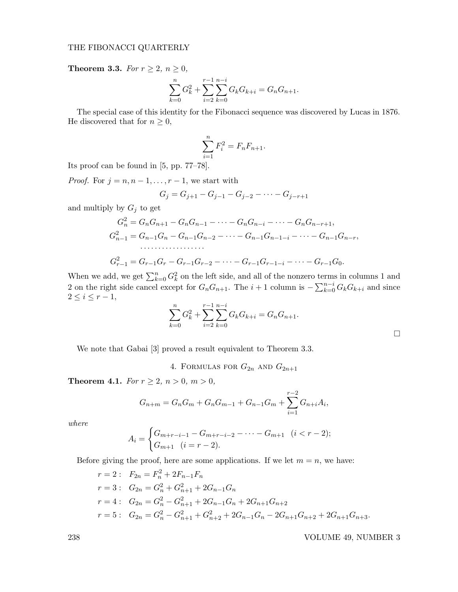**Theorem 3.3.** For  $r \geq 2$ ,  $n \geq 0$ ,

$$
\sum_{k=0}^{n} G_k^2 + \sum_{i=2}^{r-1} \sum_{k=0}^{n-i} G_k G_{k+i} = G_n G_{n+1}.
$$

The special case of this identity for the Fibonacci sequence was discovered by Lucas in 1876. He discovered that for  $n \geq 0$ ,

$$
\sum_{i=1}^{n} F_i^2 = F_n F_{n+1}.
$$

Its proof can be found in [5, pp. 77–78].

*Proof.* For  $j = n, n - 1, \ldots, r - 1$ , we start with

$$
G_j = G_{j+1} - G_{j-1} - G_{j-2} - \dots - G_{j-r+1}
$$

and multiply by  $G_j$  to get

$$
G_n^2 = G_n G_{n+1} - G_n G_{n-1} - \dots - G_n G_{n-i} - \dots - G_n G_{n-r+1},
$$
  
\n
$$
G_{n-1}^2 = G_{n-1} G_n - G_{n-1} G_{n-2} - \dots - G_{n-1} G_{n-1-i} - \dots - G_{n-1} G_{n-r},
$$
  
\n
$$
\dots
$$
  
\n
$$
G_{r-1}^2 = G_{r-1} G_r - G_{r-1} G_{r-2} - \dots - G_{r-1} G_{r-1-i} - \dots - G_{r-1} G_0.
$$

When we add, we get  $\sum_{k=0}^{n} G_k^2$  on the left side, and all of the nonzero terms in columns 1 and 2 on the right side cancel except for  $G_nG_{n+1}$ . The  $i+1$  column is  $-\sum_{k=0}^{n-i} G_kG_{k+i}$  and since  $2 \leq i \leq r-1$ ,

$$
\sum_{k=0}^{n} G_k^2 + \sum_{i=2}^{r-1} \sum_{k=0}^{n-i} G_k G_{k+i} = G_n G_{n+1}.
$$

We note that Gabai [3] proved a result equivalent to Theorem 3.3.

4. FORMULAS FOR  $G_{2n}$  AND  $G_{2n+1}$ 

**Theorem 4.1.** For  $r \ge 2$ ,  $n > 0$ ,  $m > 0$ ,

$$
G_{n+m} = G_n G_m + G_n G_{m-1} + G_{n-1} G_m + \sum_{i=1}^{r-2} G_{n+i} A_i,
$$

where

$$
A_i = \begin{cases} G_{m+r-i-1} - G_{m+r-i-2} - \dots - G_{m+1} & (i < r-2); \\ G_{m+1} & (i = r-2). \end{cases}
$$

Before giving the proof, here are some applications. If we let  $m = n$ , we have:

$$
r = 2: \quad F_{2n} = F_n^2 + 2F_{n-1}F_n
$$
  
\n
$$
r = 3: \quad G_{2n} = G_n^2 + G_{n+1}^2 + 2G_{n-1}G_n
$$
  
\n
$$
r = 4: \quad G_{2n} = G_n^2 - G_{n+1}^2 + 2G_{n-1}G_n + 2G_{n+1}G_{n+2}
$$
  
\n
$$
r = 5: \quad G_{2n} = G_n^2 - G_{n+1}^2 + G_{n+2}^2 + 2G_{n-1}G_n - 2G_{n+1}G_{n+2} + 2G_{n+1}G_{n+3}.
$$

238 VOLUME 49, NUMBER 3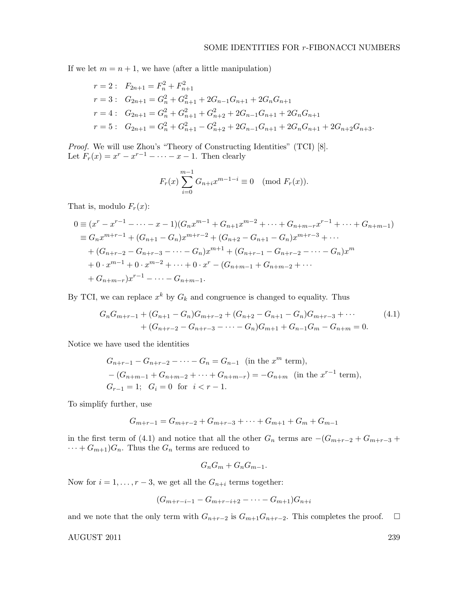If we let  $m = n + 1$ , we have (after a little manipulation)

$$
r = 2: \quad F_{2n+1} = F_n^2 + F_{n+1}^2
$$
  
\n
$$
r = 3: \quad G_{2n+1} = G_n^2 + G_{n+1}^2 + 2G_{n-1}G_{n+1} + 2G_nG_{n+1}
$$
  
\n
$$
r = 4: \quad G_{2n+1} = G_n^2 + G_{n+1}^2 + G_{n+2}^2 + 2G_{n-1}G_{n+1} + 2G_nG_{n+1}
$$
  
\n
$$
r = 5: \quad G_{2n+1} = G_n^2 + G_{n+1}^2 - G_{n+2}^2 + 2G_{n-1}G_{n+1} + 2G_nG_{n+1} + 2G_{n+2}G_{n+3}.
$$

Proof. We will use Zhou's "Theory of Constructing Identities" (TCI) [8]. Let  $F_r(x) = x^r - x^{r-1} - \cdots - x - 1$ . Then clearly

$$
F_r(x) \sum_{i=0}^{m-1} G_{n+i} x^{m-1-i} \equiv 0 \pmod{F_r(x)}.
$$

That is, modulo  $F_r(x)$ :

$$
0 \equiv (x^r - x^{r-1} - \dots - x - 1)(G_n x^{m-1} + G_{n+1} x^{m-2} + \dots + G_{n+m-r} x^{r-1} + \dots + G_{n+m-1})
$$
  
\n
$$
\equiv G_n x^{m+r-1} + (G_{n+1} - G_n) x^{m+r-2} + (G_{n+2} - G_{n+1} - G_n) x^{m+r-3} + \dots
$$
  
\n
$$
+ (G_{n+r-2} - G_{n+r-3} - \dots - G_n) x^{m+1} + (G_{n+r-1} - G_{n+r-2} - \dots - G_n) x^m
$$
  
\n
$$
+ 0 \cdot x^{m-1} + 0 \cdot x^{m-2} + \dots + 0 \cdot x^r - (G_{n+m-1} + G_{n+m-2} + \dots
$$
  
\n
$$
+ G_{n+m-r}) x^{r-1} - \dots - G_{n+m-1}.
$$

By TCI, we can replace  $x^k$  by  $G_k$  and congruence is changed to equality. Thus

$$
G_n G_{m+r-1} + (G_{n+1} - G_n) G_{m+r-2} + (G_{n+2} - G_{n+1} - G_n) G_{m+r-3} + \cdots
$$
  
+ 
$$
(G_{n+r-2} - G_{n+r-3} - \cdots - G_n) G_{m+1} + G_{n-1} G_m - G_{n+m} = 0.
$$
  
(4.1)

Notice we have used the identities

$$
G_{n+r-1} - G_{n+r-2} - \cdots - G_n = G_{n-1}
$$
 (in the  $x^m$  term),  
-  $(G_{n+m-1} + G_{n+m-2} + \cdots + G_{n+m-r}) = -G_{n+m}$  (in the  $x^{r-1}$  term),  
 $G_{r-1} = 1$ ;  $G_i = 0$  for  $i < r - 1$ .

To simplify further, use

$$
G_{m+r-1} = G_{m+r-2} + G_{m+r-3} + \dots + G_{m+1} + G_m + G_{m-1}
$$

in the first term of (4.1) and notice that all the other  $G_n$  terms are  $-(G_{m+r-2} + G_{m+r-3} +$  $\cdots + G_{m+1}G_n$ . Thus the  $G_n$  terms are reduced to

$$
G_nG_m+G_nG_{m-1}.
$$

Now for  $i = 1, ..., r - 3$ , we get all the  $G_{n+i}$  terms together:

$$
(G_{m+r-i-1} - G_{m+r-i+2} - \cdots - G_{m+1})G_{n+i}
$$

and we note that the only term with  $G_{n+r-2}$  is  $G_{m+1}G_{n+r-2}$ . This completes the proof.  $\Box$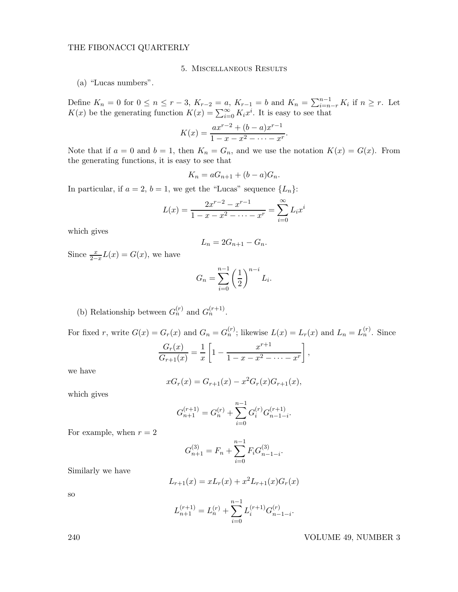#### 5. Miscellaneous Results

(a) "Lucas numbers".

Define  $K_n = 0$  for  $0 \le n \le r - 3$ ,  $K_{r-2} = a$ ,  $K_{r-1} = b$  and  $K_n = \sum_{i=n-r}^{n-1} K_i$  if  $n \ge r$ . Let  $K(x)$  be the generating function  $K(x) = \sum_{i=0}^{\infty} K_i x^i$ . It is easy to see that

$$
K(x) = \frac{ax^{r-2} + (b-a)x^{r-1}}{1 - x - x^2 - \dots - x^r}.
$$

Note that if  $a = 0$  and  $b = 1$ , then  $K_n = G_n$ , and we use the notation  $K(x) = G(x)$ . From the generating functions, it is easy to see that

$$
K_n = aG_{n+1} + (b-a)G_n.
$$

In particular, if  $a = 2$ ,  $b = 1$ , we get the "Lucas" sequence  $\{L_n\}$ :

$$
L(x) = \frac{2x^{r-2} - x^{r-1}}{1 - x - x^2 - \dots - x^r} = \sum_{i=0}^{\infty} L_i x^i
$$

which gives

$$
L_n = 2G_{n+1} - G_n.
$$

Since  $\frac{x}{2-x}L(x) = G(x)$ , we have

$$
G_n = \sum_{i=0}^{n-1} \left(\frac{1}{2}\right)^{n-i} L_i.
$$

(b) Relationship between  $G_n^{(r)}$  and  $G_n^{(r+1)}$ .

For fixed r, write  $G(x) = G_r(x)$  and  $G_n = G_n^{(r)}$ ; likewise  $L(x) = L_r(x)$  and  $L_n = L_n^{(r)}$ . Since

$$
\frac{G_r(x)}{G_{r+1}(x)} = \frac{1}{x} \left[ 1 - \frac{x^{r+1}}{1 - x - x^2 - \dots - x^r} \right],
$$

we have

$$
xG_r(x) = G_{r+1}(x) - x^2 G_r(x) G_{r+1}(x),
$$

which gives

$$
G_{n+1}^{(r+1)} = G_n^{(r)} + \sum_{i=0}^{n-1} G_i^{(r)} G_{n-1-i}^{(r+1)}.
$$

For example, when  $r = 2$ 

$$
G_{n+1}^{(3)} = F_n + \sum_{i=0}^{n-1} F_i G_{n-1-i}^{(3)}.
$$

Similarly we have

$$
L_{r+1}(x) = xL_r(x) + x^2 L_{r+1}(x)G_r(x)
$$

so

$$
L_{n+1}^{(r+1)} = L_n^{(r)} + \sum_{i=0}^{n-1} L_i^{(r+1)} G_{n-1-i}^{(r)}.
$$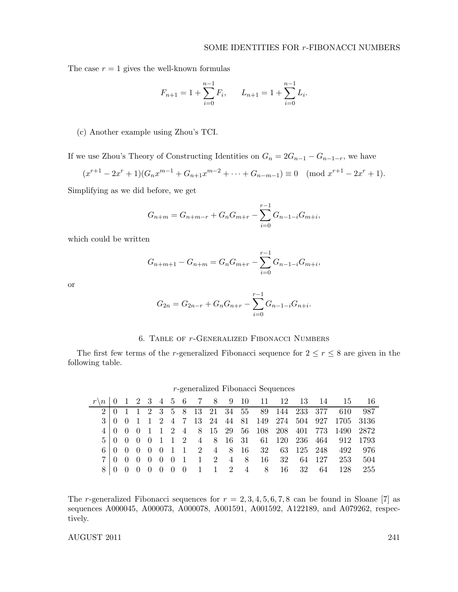The case  $r = 1$  gives the well-known formulas

$$
F_{n+1} = 1 + \sum_{i=0}^{n-1} F_i, \qquad L_{n+1} = 1 + \sum_{i=0}^{n-1} L_i.
$$

## (c) Another example using Zhou's TCI.

If we use Zhou's Theory of Constructing Identities on  $G_n = 2G_{n-1} - G_{n-1-r}$ , we have

$$
(x^{r+1} - 2x^r + 1)(G_n x^{m-1} + G_{n+1} x^{m-2} + \dots + G_{n-m-1}) \equiv 0 \pmod{x^{r+1} - 2x^r + 1}.
$$

Simplifying as we did before, we get

$$
G_{n+m} = G_{n+m-r} + G_n G_{m+r} - \sum_{i=0}^{r-1} G_{n-1-i} G_{m+i},
$$

which could be written

$$
G_{n+m+1} - G_{n+m} = G_n G_{m+r} - \sum_{i=0}^{r-1} G_{n-1-i} G_{m+i},
$$

or

$$
G_{2n} = G_{2n-r} + G_n G_{n+r} - \sum_{i=0}^{r-1} G_{n-1-i} G_{n+i}.
$$

# 6. Table of r-Generalized Fibonacci Numbers

The first few terms of the *r*-generalized Fibonacci sequence for  $2 \le r \le 8$  are given in the following table.

r-generalized Fibonacci Sequences

|  |  |  |  |  |  |  |  | $r \n\backslash n$   0 1 2 3 4 5 6 7 8 9 10 11 12 13 14 15 16 |  |
|--|--|--|--|--|--|--|--|---------------------------------------------------------------|--|
|  |  |  |  |  |  |  |  | $2   0 1 1 2 3 5 8 13 21 34 55 89 144 233 377 610 987$        |  |
|  |  |  |  |  |  |  |  | 3 0 0 1 1 2 4 7 13 24 44 81 149 274 504 927 1705 3136         |  |
|  |  |  |  |  |  |  |  | 4 0 0 0 1 1 2 4 8 15 29 56 108 208 401 773 1490 2872          |  |
|  |  |  |  |  |  |  |  | 5 0 0 0 0 1 1 2 4 8 16 31 61 120 236 464 912 1793             |  |
|  |  |  |  |  |  |  |  | 6 0 0 0 0 0 1 1 2 4 8 16 32 63 125 248 492 976                |  |
|  |  |  |  |  |  |  |  | 7 0 0 0 0 0 0 1 1 2 4 8 16 32 64 127 253 504                  |  |
|  |  |  |  |  |  |  |  | 8 0 0 0 0 0 0 0 1 1 2 4 8 16 32 64 128 255                    |  |

The r-generalized Fibonacci sequences for  $r = 2, 3, 4, 5, 6, 7, 8$  can be found in Sloane [7] as sequences A000045, A000073, A000078, A001591, A001592, A122189, and A079262, respectively.